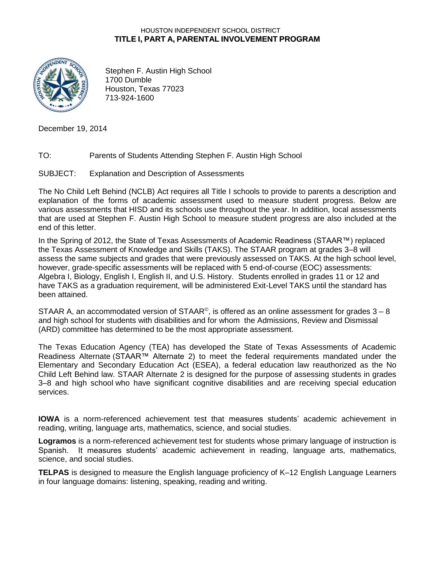## HOUSTON INDEPENDENT SCHOOL DISTRICT **TITLE I, PART A, PARENTAL INVOLVEMENT PROGRAM**



Stephen F. Austin High School 1700 Dumble Houston, Texas 77023 713-924-1600

December 19, 2014

- TO: Parents of Students Attending Stephen F. Austin High School
- SUBJECT: Explanation and Description of Assessments

The No Child Left Behind (NCLB) Act requires all Title I schools to provide to parents a description and explanation of the forms of academic assessment used to measure student progress. Below are various assessments that HISD and its schools use throughout the year. In addition, local assessments that are used at Stephen F. Austin High School to measure student progress are also included at the end of this letter.

In the Spring of 2012, the State of Texas Assessments of Academic Readiness (STAAR™) replaced the Texas Assessment of Knowledge and Skills (TAKS). The STAAR program at grades 3–8 will assess the same subjects and grades that were previously assessed on TAKS. At the high school level, however, grade-specific assessments will be replaced with 5 end-of-course (EOC) assessments: Algebra I, Biology, English I, English II, and U.S. History. Students enrolled in grades 11 or 12 and have TAKS as a graduation requirement, will be administered Exit-Level TAKS until the standard has been attained.

STAAR A, an accommodated version of STAAR<sup>©</sup>, is offered as an online assessment for grades  $3-8$ and high school for students with disabilities and for whom the Admissions, Review and Dismissal (ARD) committee has determined to be the most appropriate assessment.

The Texas Education Agency (TEA) has developed the State of Texas Assessments of Academic Readiness Alternate (STAAR™ Alternate 2) to meet the federal requirements mandated under the Elementary and Secondary Education Act (ESEA), a federal education law reauthorized as the No Child Left Behind law. STAAR Alternate 2 is designed for the purpose of assessing students in grades 3–8 and high school who have significant cognitive disabilities and are receiving special education services.

**IOWA** is a norm-referenced achievement test that measures students' academic achievement in reading, writing, language arts, mathematics, science, and social studies.

**Logramos** is a norm-referenced achievement test for students whose primary language of instruction is Spanish. It measures students' academic achievement in reading, language arts, mathematics, science, and social studies.

**TELPAS** is designed to measure the English language proficiency of K–12 English Language Learners in four language domains: listening, speaking, reading and writing.